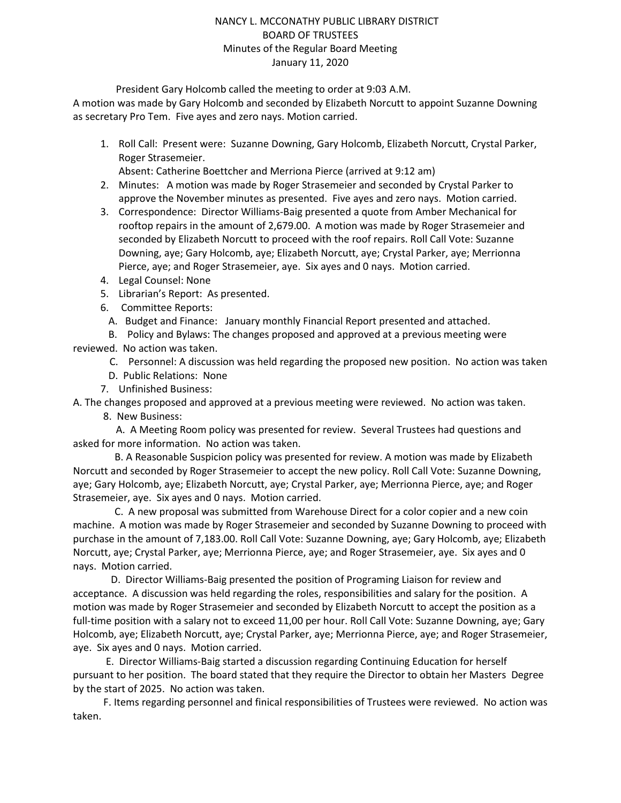### NANCY L. MCCONATHY PUBLIC LIBRARY DISTRICT BOARD OF TRUSTEES Minutes of the Regular Board Meeting January 11, 2020

President Gary Holcomb called the meeting to order at 9:03 A.M.

A motion was made by Gary Holcomb and seconded by Elizabeth Norcutt to appoint Suzanne Downing as secretary Pro Tem. Five ayes and zero nays. Motion carried.

1. Roll Call: Present were: Suzanne Downing, Gary Holcomb, Elizabeth Norcutt, Crystal Parker, Roger Strasemeier.

Absent: Catherine Boettcher and Merriona Pierce (arrived at 9:12 am)

- 2. Minutes: A motion was made by Roger Strasemeier and seconded by Crystal Parker to approve the November minutes as presented. Five ayes and zero nays. Motion carried.
- 3. Correspondence: Director Williams-Baig presented a quote from Amber Mechanical for rooftop repairs in the amount of 2,679.00. A motion was made by Roger Strasemeier and seconded by Elizabeth Norcutt to proceed with the roof repairs. Roll Call Vote: Suzanne Downing, aye; Gary Holcomb, aye; Elizabeth Norcutt, aye; Crystal Parker, aye; Merrionna Pierce, aye; and Roger Strasemeier, aye. Six ayes and 0 nays. Motion carried.
- 4. Legal Counsel: None
- 5. Librarian's Report: As presented.
- 6. Committee Reports:
	- A. Budget and Finance: January monthly Financial Report presented and attached.
- B. Policy and Bylaws: The changes proposed and approved at a previous meeting were

reviewed. No action was taken.

- C. Personnel: A discussion was held regarding the proposed new position. No action was taken
- D. Public Relations: None
- 7. Unfinished Business:

A. The changes proposed and approved at a previous meeting were reviewed. No action was taken.

8. New Business:

 A. A Meeting Room policy was presented for review. Several Trustees had questions and asked for more information. No action was taken.

 B. A Reasonable Suspicion policy was presented for review. A motion was made by Elizabeth Norcutt and seconded by Roger Strasemeier to accept the new policy. Roll Call Vote: Suzanne Downing, aye; Gary Holcomb, aye; Elizabeth Norcutt, aye; Crystal Parker, aye; Merrionna Pierce, aye; and Roger Strasemeier, aye. Six ayes and 0 nays. Motion carried.

 C. A new proposal was submitted from Warehouse Direct for a color copier and a new coin machine. A motion was made by Roger Strasemeier and seconded by Suzanne Downing to proceed with purchase in the amount of 7,183.00. Roll Call Vote: Suzanne Downing, aye; Gary Holcomb, aye; Elizabeth Norcutt, aye; Crystal Parker, aye; Merrionna Pierce, aye; and Roger Strasemeier, aye. Six ayes and 0 nays. Motion carried.

 D. Director Williams-Baig presented the position of Programing Liaison for review and acceptance. A discussion was held regarding the roles, responsibilities and salary for the position. A motion was made by Roger Strasemeier and seconded by Elizabeth Norcutt to accept the position as a full-time position with a salary not to exceed 11,00 per hour. Roll Call Vote: Suzanne Downing, aye; Gary Holcomb, aye; Elizabeth Norcutt, aye; Crystal Parker, aye; Merrionna Pierce, aye; and Roger Strasemeier, aye. Six ayes and 0 nays. Motion carried.

 E. Director Williams-Baig started a discussion regarding Continuing Education for herself pursuant to her position. The board stated that they require the Director to obtain her Masters Degree by the start of 2025. No action was taken.

 F. Items regarding personnel and finical responsibilities of Trustees were reviewed. No action was taken.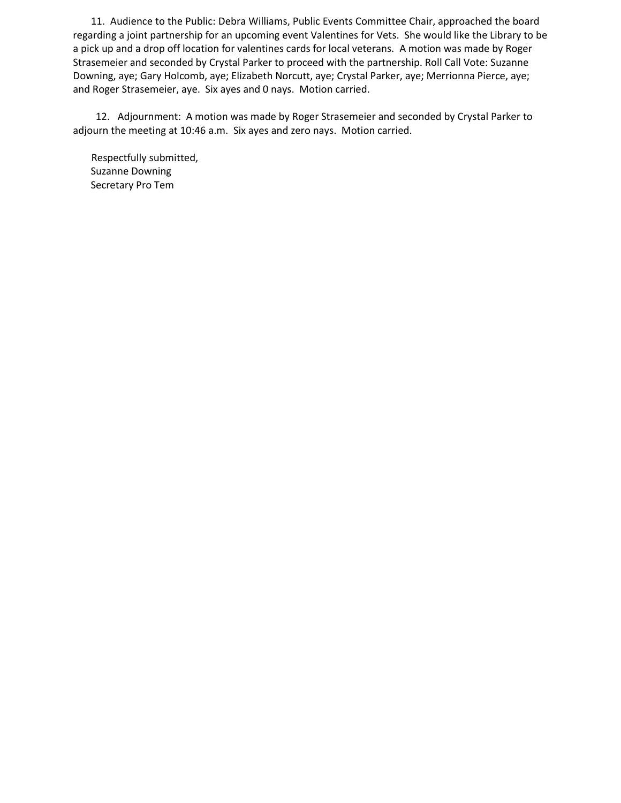11. Audience to the Public: Debra Williams, Public Events Committee Chair, approached the board regarding a joint partnership for an upcoming event Valentines for Vets. She would like the Library to be a pick up and a drop off location for valentines cards for local veterans. A motion was made by Roger Strasemeier and seconded by Crystal Parker to proceed with the partnership. Roll Call Vote: Suzanne Downing, aye; Gary Holcomb, aye; Elizabeth Norcutt, aye; Crystal Parker, aye; Merrionna Pierce, aye; and Roger Strasemeier, aye. Six ayes and 0 nays. Motion carried.

 12. Adjournment: A motion was made by Roger Strasemeier and seconded by Crystal Parker to adjourn the meeting at 10:46 a.m. Six ayes and zero nays. Motion carried.

Respectfully submitted, Suzanne Downing Secretary Pro Tem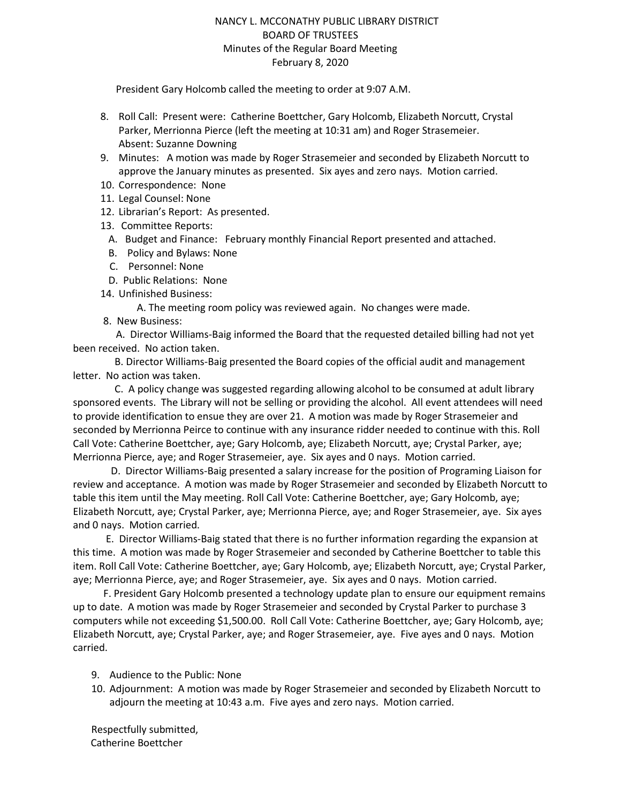### NANCY L. MCCONATHY PUBLIC LIBRARY DISTRICT BOARD OF TRUSTEES Minutes of the Regular Board Meeting February 8, 2020

President Gary Holcomb called the meeting to order at 9:07 A.M.

- 8. Roll Call: Present were: Catherine Boettcher, Gary Holcomb, Elizabeth Norcutt, Crystal Parker, Merrionna Pierce (left the meeting at 10:31 am) and Roger Strasemeier. Absent: Suzanne Downing
- 9. Minutes: A motion was made by Roger Strasemeier and seconded by Elizabeth Norcutt to approve the January minutes as presented. Six ayes and zero nays. Motion carried.
- 10. Correspondence: None
- 11. Legal Counsel: None
- 12. Librarian's Report: As presented.
- 13. Committee Reports:
	- A. Budget and Finance: February monthly Financial Report presented and attached.
	- B. Policy and Bylaws: None
	- C. Personnel: None
	- D. Public Relations: None
- 14. Unfinished Business:

A. The meeting room policy was reviewed again. No changes were made.

8. New Business:

 A. Director Williams-Baig informed the Board that the requested detailed billing had not yet been received. No action taken.

 B. Director Williams-Baig presented the Board copies of the official audit and management letter. No action was taken.

 C. A policy change was suggested regarding allowing alcohol to be consumed at adult library sponsored events. The Library will not be selling or providing the alcohol. All event attendees will need to provide identification to ensue they are over 21. A motion was made by Roger Strasemeier and seconded by Merrionna Peirce to continue with any insurance ridder needed to continue with this. Roll Call Vote: Catherine Boettcher, aye; Gary Holcomb, aye; Elizabeth Norcutt, aye; Crystal Parker, aye; Merrionna Pierce, aye; and Roger Strasemeier, aye. Six ayes and 0 nays. Motion carried.

 D. Director Williams-Baig presented a salary increase for the position of Programing Liaison for review and acceptance. A motion was made by Roger Strasemeier and seconded by Elizabeth Norcutt to table this item until the May meeting. Roll Call Vote: Catherine Boettcher, aye; Gary Holcomb, aye; Elizabeth Norcutt, aye; Crystal Parker, aye; Merrionna Pierce, aye; and Roger Strasemeier, aye. Six ayes and 0 nays. Motion carried.

 E. Director Williams-Baig stated that there is no further information regarding the expansion at this time. A motion was made by Roger Strasemeier and seconded by Catherine Boettcher to table this item. Roll Call Vote: Catherine Boettcher, aye; Gary Holcomb, aye; Elizabeth Norcutt, aye; Crystal Parker, aye; Merrionna Pierce, aye; and Roger Strasemeier, aye. Six ayes and 0 nays. Motion carried.

 F. President Gary Holcomb presented a technology update plan to ensure our equipment remains up to date. A motion was made by Roger Strasemeier and seconded by Crystal Parker to purchase 3 computers while not exceeding \$1,500.00. Roll Call Vote: Catherine Boettcher, aye; Gary Holcomb, aye; Elizabeth Norcutt, aye; Crystal Parker, aye; and Roger Strasemeier, aye. Five ayes and 0 nays. Motion carried.

- 9. Audience to the Public: None
- 10. Adjournment: A motion was made by Roger Strasemeier and seconded by Elizabeth Norcutt to adjourn the meeting at 10:43 a.m. Five ayes and zero nays. Motion carried.

Respectfully submitted, Catherine Boettcher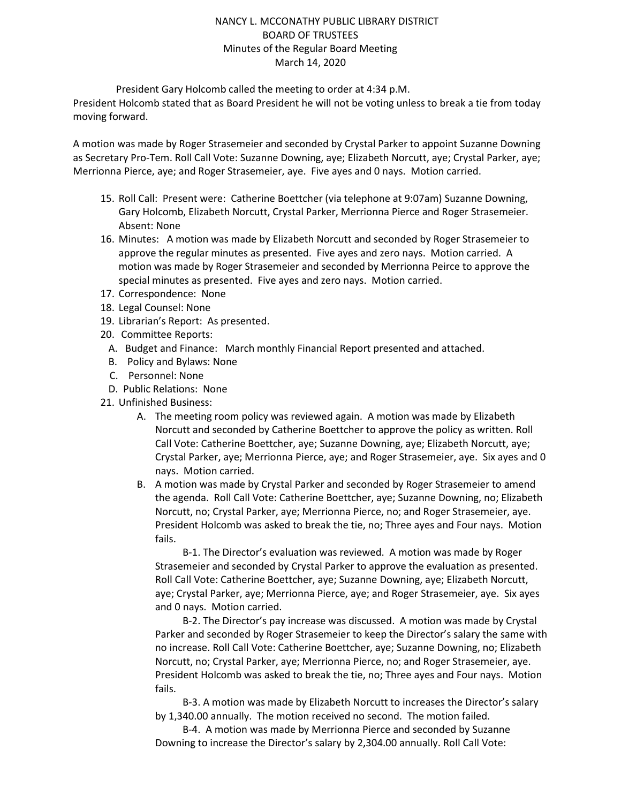### NANCY L. MCCONATHY PUBLIC LIBRARY DISTRICT BOARD OF TRUSTEES Minutes of the Regular Board Meeting March 14, 2020

President Gary Holcomb called the meeting to order at 4:34 p.M.

President Holcomb stated that as Board President he will not be voting unless to break a tie from today moving forward.

A motion was made by Roger Strasemeier and seconded by Crystal Parker to appoint Suzanne Downing as Secretary Pro-Tem. Roll Call Vote: Suzanne Downing, aye; Elizabeth Norcutt, aye; Crystal Parker, aye; Merrionna Pierce, aye; and Roger Strasemeier, aye. Five ayes and 0 nays. Motion carried.

- 15. Roll Call: Present were: Catherine Boettcher (via telephone at 9:07am) Suzanne Downing, Gary Holcomb, Elizabeth Norcutt, Crystal Parker, Merrionna Pierce and Roger Strasemeier. Absent: None
- 16. Minutes: A motion was made by Elizabeth Norcutt and seconded by Roger Strasemeier to approve the regular minutes as presented. Five ayes and zero nays. Motion carried. A motion was made by Roger Strasemeier and seconded by Merrionna Peirce to approve the special minutes as presented. Five ayes and zero nays. Motion carried.
- 17. Correspondence: None
- 18. Legal Counsel: None
- 19. Librarian's Report: As presented.
- 20. Committee Reports:
	- A. Budget and Finance: March monthly Financial Report presented and attached.
	- B. Policy and Bylaws: None
	- C. Personnel: None
	- D. Public Relations: None
- 21. Unfinished Business:
	- A. The meeting room policy was reviewed again. A motion was made by Elizabeth Norcutt and seconded by Catherine Boettcher to approve the policy as written. Roll Call Vote: Catherine Boettcher, aye; Suzanne Downing, aye; Elizabeth Norcutt, aye; Crystal Parker, aye; Merrionna Pierce, aye; and Roger Strasemeier, aye. Six ayes and 0 nays. Motion carried.
	- B. A motion was made by Crystal Parker and seconded by Roger Strasemeier to amend the agenda. Roll Call Vote: Catherine Boettcher, aye; Suzanne Downing, no; Elizabeth Norcutt, no; Crystal Parker, aye; Merrionna Pierce, no; and Roger Strasemeier, aye. President Holcomb was asked to break the tie, no; Three ayes and Four nays. Motion fails.

B-1. The Director's evaluation was reviewed. A motion was made by Roger Strasemeier and seconded by Crystal Parker to approve the evaluation as presented. Roll Call Vote: Catherine Boettcher, aye; Suzanne Downing, aye; Elizabeth Norcutt, aye; Crystal Parker, aye; Merrionna Pierce, aye; and Roger Strasemeier, aye. Six ayes and 0 nays. Motion carried.

B-2. The Director's pay increase was discussed. A motion was made by Crystal Parker and seconded by Roger Strasemeier to keep the Director's salary the same with no increase. Roll Call Vote: Catherine Boettcher, aye; Suzanne Downing, no; Elizabeth Norcutt, no; Crystal Parker, aye; Merrionna Pierce, no; and Roger Strasemeier, aye. President Holcomb was asked to break the tie, no; Three ayes and Four nays. Motion fails.

B-3. A motion was made by Elizabeth Norcutt to increases the Director's salary by 1,340.00 annually. The motion received no second. The motion failed.

B-4. A motion was made by Merrionna Pierce and seconded by Suzanne Downing to increase the Director's salary by 2,304.00 annually. Roll Call Vote: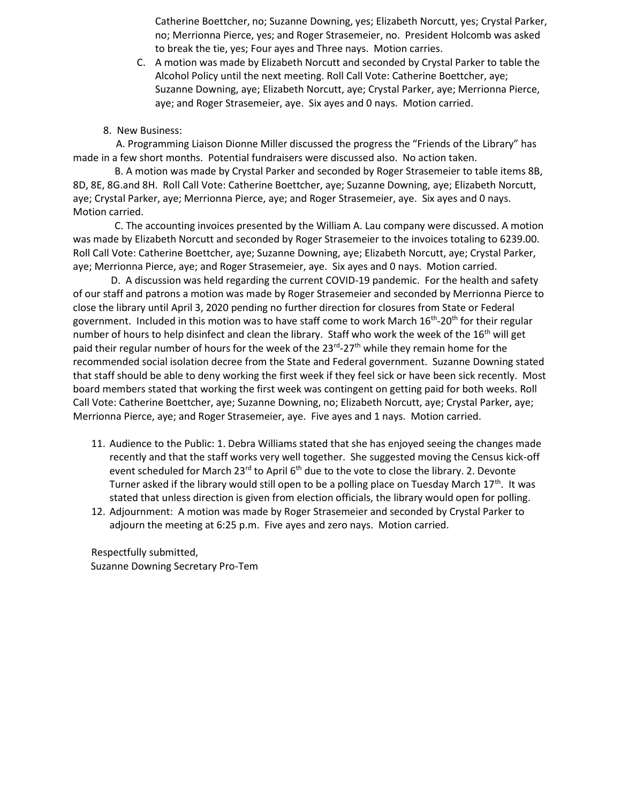Catherine Boettcher, no; Suzanne Downing, yes; Elizabeth Norcutt, yes; Crystal Parker, no; Merrionna Pierce, yes; and Roger Strasemeier, no. President Holcomb was asked to break the tie, yes; Four ayes and Three nays. Motion carries.

- C. A motion was made by Elizabeth Norcutt and seconded by Crystal Parker to table the Alcohol Policy until the next meeting. Roll Call Vote: Catherine Boettcher, aye; Suzanne Downing, aye; Elizabeth Norcutt, aye; Crystal Parker, aye; Merrionna Pierce, aye; and Roger Strasemeier, aye. Six ayes and 0 nays. Motion carried.
- 8. New Business:

 A. Programming Liaison Dionne Miller discussed the progress the "Friends of the Library" has made in a few short months. Potential fundraisers were discussed also. No action taken.

 B. A motion was made by Crystal Parker and seconded by Roger Strasemeier to table items 8B, 8D, 8E, 8G.and 8H. Roll Call Vote: Catherine Boettcher, aye; Suzanne Downing, aye; Elizabeth Norcutt, aye; Crystal Parker, aye; Merrionna Pierce, aye; and Roger Strasemeier, aye. Six ayes and 0 nays. Motion carried.

 C. The accounting invoices presented by the William A. Lau company were discussed. A motion was made by Elizabeth Norcutt and seconded by Roger Strasemeier to the invoices totaling to 6239.00. Roll Call Vote: Catherine Boettcher, aye; Suzanne Downing, aye; Elizabeth Norcutt, aye; Crystal Parker, aye; Merrionna Pierce, aye; and Roger Strasemeier, aye. Six ayes and 0 nays. Motion carried.

 D. A discussion was held regarding the current COVID-19 pandemic. For the health and safety of our staff and patrons a motion was made by Roger Strasemeier and seconded by Merrionna Pierce to close the library until April 3, 2020 pending no further direction for closures from State or Federal government. Included in this motion was to have staff come to work March 16<sup>th</sup>-20<sup>th</sup> for their regular number of hours to help disinfect and clean the library. Staff who work the week of the 16<sup>th</sup> will get paid their regular number of hours for the week of the 23<sup>rd</sup>-27<sup>th</sup> while they remain home for the recommended social isolation decree from the State and Federal government. Suzanne Downing stated that staff should be able to deny working the first week if they feel sick or have been sick recently. Most board members stated that working the first week was contingent on getting paid for both weeks. Roll Call Vote: Catherine Boettcher, aye; Suzanne Downing, no; Elizabeth Norcutt, aye; Crystal Parker, aye; Merrionna Pierce, aye; and Roger Strasemeier, aye. Five ayes and 1 nays. Motion carried.

- 11. Audience to the Public: 1. Debra Williams stated that she has enjoyed seeing the changes made recently and that the staff works very well together. She suggested moving the Census kick-off event scheduled for March 23 $^{rd}$  to April  $6<sup>th</sup>$  due to the vote to close the library. 2. Devonte Turner asked if the library would still open to be a polling place on Tuesday March  $17<sup>th</sup>$ . It was stated that unless direction is given from election officials, the library would open for polling.
- 12. Adjournment: A motion was made by Roger Strasemeier and seconded by Crystal Parker to adjourn the meeting at 6:25 p.m. Five ayes and zero nays. Motion carried.

Respectfully submitted, Suzanne Downing Secretary Pro-Tem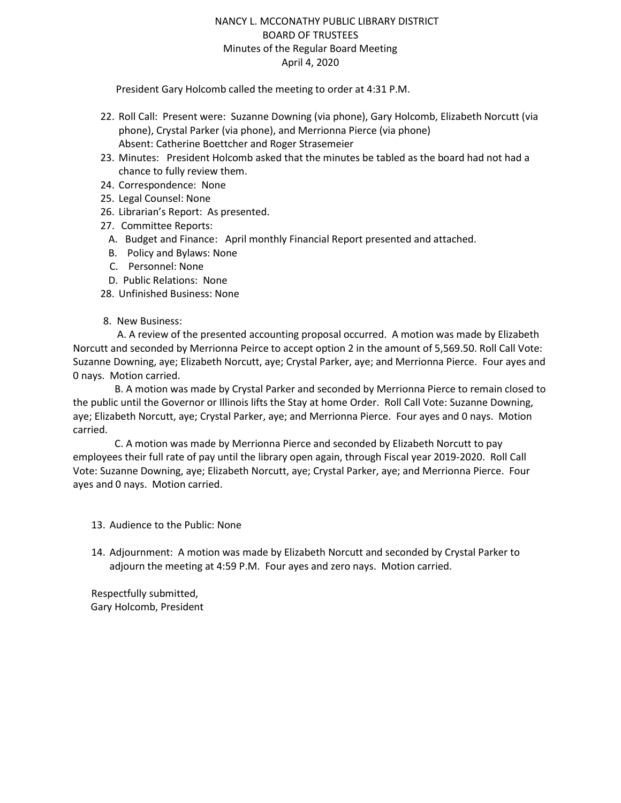### NANCY L. MCCONATHY PUBLIC LIBRARY DISTRICT BOARD OF TRUSTEES Minutes of the Regular Board Meeting April 4, 2020

President Gary Holcomb called the meeting to order at 4:31 P.M.

- 22. Roll Call: Present were: Suzanne Downing (via phone), Gary Holcomb, Elizabeth Norcutt (via phone), Crystal Parker (via phone), and Merrionna Pierce (via phone) Absent: Catherine Boettcher and Roger Strasemeier
- 23. Minutes: President Holcomb asked that the minutes be tabled as the board had not had a chance to fully review them.
- 24. Correspondence: None
- 25. Legal Counsel: None
- 26. Librarian's Report: As presented.
- 27. Committee Reports:
	- A. Budget and Finance: April monthly Financial Report presented and attached.
	- B. Policy and Bylaws: None
	- C. Personnel: None
- D. Public Relations: None
- 28. Unfinished Business: None
- 8. New Business:

 A. A review of the presented accounting proposal occurred. A motion was made by Elizabeth Norcutt and seconded by Merrionna Peirce to accept option 2 in the amount of 5,569.50. Roll Call Vote: Suzanne Downing, aye; Elizabeth Norcutt, aye; Crystal Parker, aye; and Merrionna Pierce. Four ayes and 0 nays. Motion carried.

 B. A motion was made by Crystal Parker and seconded by Merrionna Pierce to remain closed to the public until the Governor or Illinois lifts the Stay at home Order. Roll Call Vote: Suzanne Downing, aye; Elizabeth Norcutt, aye; Crystal Parker, aye; and Merrionna Pierce. Four ayes and 0 nays. Motion carried.

 C. A motion was made by Merrionna Pierce and seconded by Elizabeth Norcutt to pay employees their full rate of pay until the library open again, through Fiscal year 2019-2020. Roll Call Vote: Suzanne Downing, aye; Elizabeth Norcutt, aye; Crystal Parker, aye; and Merrionna Pierce. Four ayes and 0 nays. Motion carried.

13. Audience to the Public: None

14. Adjournment: A motion was made by Elizabeth Norcutt and seconded by Crystal Parker to adjourn the meeting at 4:59 P.M. Four ayes and zero nays. Motion carried.

Respectfully submitted, Gary Holcomb, President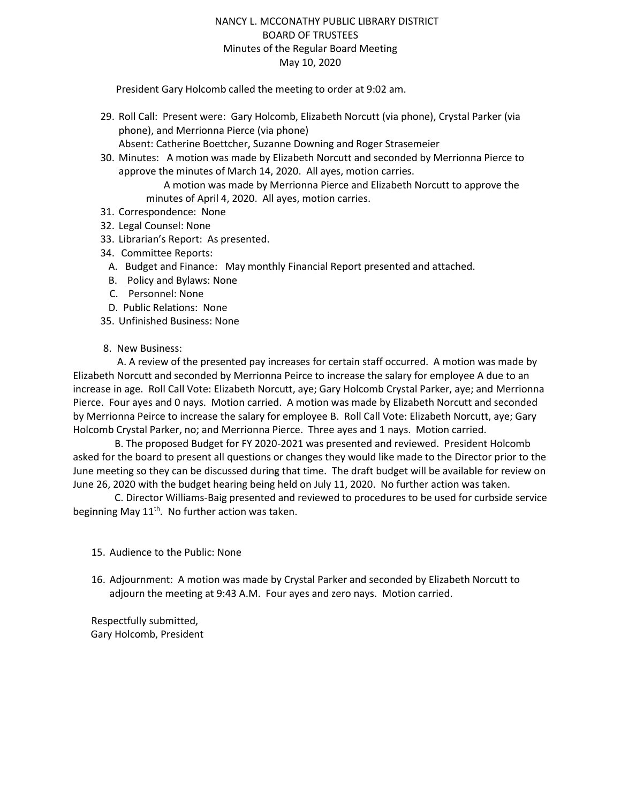### NANCY L. MCCONATHY PUBLIC LIBRARY DISTRICT BOARD OF TRUSTEES Minutes of the Regular Board Meeting May 10, 2020

President Gary Holcomb called the meeting to order at 9:02 am.

- 29. Roll Call: Present were: Gary Holcomb, Elizabeth Norcutt (via phone), Crystal Parker (via phone), and Merrionna Pierce (via phone) Absent: Catherine Boettcher, Suzanne Downing and Roger Strasemeier
- 30. Minutes: A motion was made by Elizabeth Norcutt and seconded by Merrionna Pierce to approve the minutes of March 14, 2020. All ayes, motion carries.

 A motion was made by Merrionna Pierce and Elizabeth Norcutt to approve the minutes of April 4, 2020. All ayes, motion carries.

- 31. Correspondence: None
- 32. Legal Counsel: None
- 33. Librarian's Report: As presented.
- 34. Committee Reports:
	- A. Budget and Finance: May monthly Financial Report presented and attached.
	- B. Policy and Bylaws: None
	- C. Personnel: None
- D. Public Relations: None
- 35. Unfinished Business: None
- 8. New Business:

 A. A review of the presented pay increases for certain staff occurred. A motion was made by Elizabeth Norcutt and seconded by Merrionna Peirce to increase the salary for employee A due to an increase in age. Roll Call Vote: Elizabeth Norcutt, aye; Gary Holcomb Crystal Parker, aye; and Merrionna Pierce. Four ayes and 0 nays. Motion carried. A motion was made by Elizabeth Norcutt and seconded by Merrionna Peirce to increase the salary for employee B. Roll Call Vote: Elizabeth Norcutt, aye; Gary Holcomb Crystal Parker, no; and Merrionna Pierce. Three ayes and 1 nays. Motion carried.

 B. The proposed Budget for FY 2020-2021 was presented and reviewed. President Holcomb asked for the board to present all questions or changes they would like made to the Director prior to the June meeting so they can be discussed during that time. The draft budget will be available for review on June 26, 2020 with the budget hearing being held on July 11, 2020. No further action was taken.

 C. Director Williams-Baig presented and reviewed to procedures to be used for curbside service beginning May 11<sup>th</sup>. No further action was taken.

- 15. Audience to the Public: None
- 16. Adjournment: A motion was made by Crystal Parker and seconded by Elizabeth Norcutt to adjourn the meeting at 9:43 A.M. Four ayes and zero nays. Motion carried.

Respectfully submitted, Gary Holcomb, President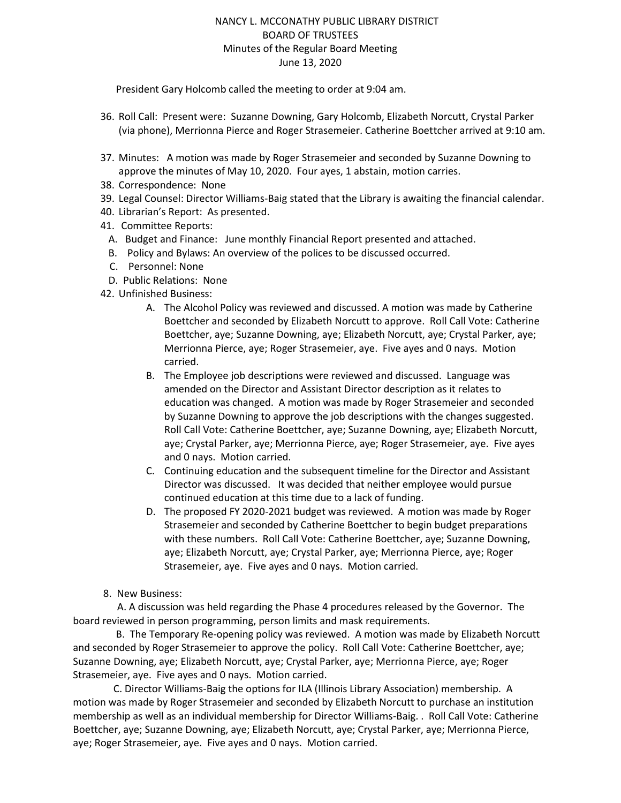### NANCY L. MCCONATHY PUBLIC LIBRARY DISTRICT BOARD OF TRUSTEES Minutes of the Regular Board Meeting June 13, 2020

President Gary Holcomb called the meeting to order at 9:04 am.

- 36. Roll Call: Present were: Suzanne Downing, Gary Holcomb, Elizabeth Norcutt, Crystal Parker (via phone), Merrionna Pierce and Roger Strasemeier. Catherine Boettcher arrived at 9:10 am.
- 37. Minutes: A motion was made by Roger Strasemeier and seconded by Suzanne Downing to approve the minutes of May 10, 2020. Four ayes, 1 abstain, motion carries.
- 38. Correspondence: None
- 39. Legal Counsel: Director Williams-Baig stated that the Library is awaiting the financial calendar.
- 40. Librarian's Report: As presented.
- 41. Committee Reports:
	- A. Budget and Finance: June monthly Financial Report presented and attached.
	- B. Policy and Bylaws: An overview of the polices to be discussed occurred.
	- C. Personnel: None
	- D. Public Relations: None
- 42. Unfinished Business:
	- A. The Alcohol Policy was reviewed and discussed. A motion was made by Catherine Boettcher and seconded by Elizabeth Norcutt to approve. Roll Call Vote: Catherine Boettcher, aye; Suzanne Downing, aye; Elizabeth Norcutt, aye; Crystal Parker, aye; Merrionna Pierce, aye; Roger Strasemeier, aye. Five ayes and 0 nays. Motion carried.
	- B. The Employee job descriptions were reviewed and discussed. Language was amended on the Director and Assistant Director description as it relates to education was changed. A motion was made by Roger Strasemeier and seconded by Suzanne Downing to approve the job descriptions with the changes suggested. Roll Call Vote: Catherine Boettcher, aye; Suzanne Downing, aye; Elizabeth Norcutt, aye; Crystal Parker, aye; Merrionna Pierce, aye; Roger Strasemeier, aye. Five ayes and 0 nays. Motion carried.
	- C. Continuing education and the subsequent timeline for the Director and Assistant Director was discussed. It was decided that neither employee would pursue continued education at this time due to a lack of funding.
	- D. The proposed FY 2020-2021 budget was reviewed. A motion was made by Roger Strasemeier and seconded by Catherine Boettcher to begin budget preparations with these numbers. Roll Call Vote: Catherine Boettcher, aye; Suzanne Downing, aye; Elizabeth Norcutt, aye; Crystal Parker, aye; Merrionna Pierce, aye; Roger Strasemeier, aye. Five ayes and 0 nays. Motion carried.
- 8. New Business:

 A. A discussion was held regarding the Phase 4 procedures released by the Governor. The board reviewed in person programming, person limits and mask requirements.

 B. The Temporary Re-opening policy was reviewed. A motion was made by Elizabeth Norcutt and seconded by Roger Strasemeier to approve the policy. Roll Call Vote: Catherine Boettcher, aye; Suzanne Downing, aye; Elizabeth Norcutt, aye; Crystal Parker, aye; Merrionna Pierce, aye; Roger Strasemeier, aye. Five ayes and 0 nays. Motion carried.

 C. Director Williams-Baig the options for ILA (Illinois Library Association) membership. A motion was made by Roger Strasemeier and seconded by Elizabeth Norcutt to purchase an institution membership as well as an individual membership for Director Williams-Baig. . Roll Call Vote: Catherine Boettcher, aye; Suzanne Downing, aye; Elizabeth Norcutt, aye; Crystal Parker, aye; Merrionna Pierce, aye; Roger Strasemeier, aye. Five ayes and 0 nays. Motion carried.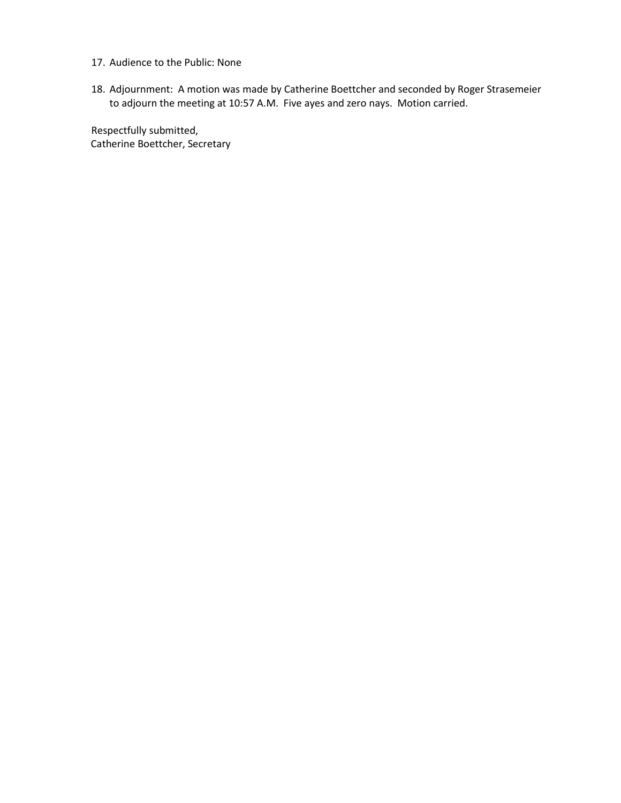- 17. Audience to the Public: None
- 18. Adjournment: A motion was made by Catherine Boettcher and seconded by Roger Strasemeier to adjourn the meeting at 10:57 A.M. Five ayes and zero nays. Motion carried.

Respectfully submitted, Catherine Boettcher, Secretary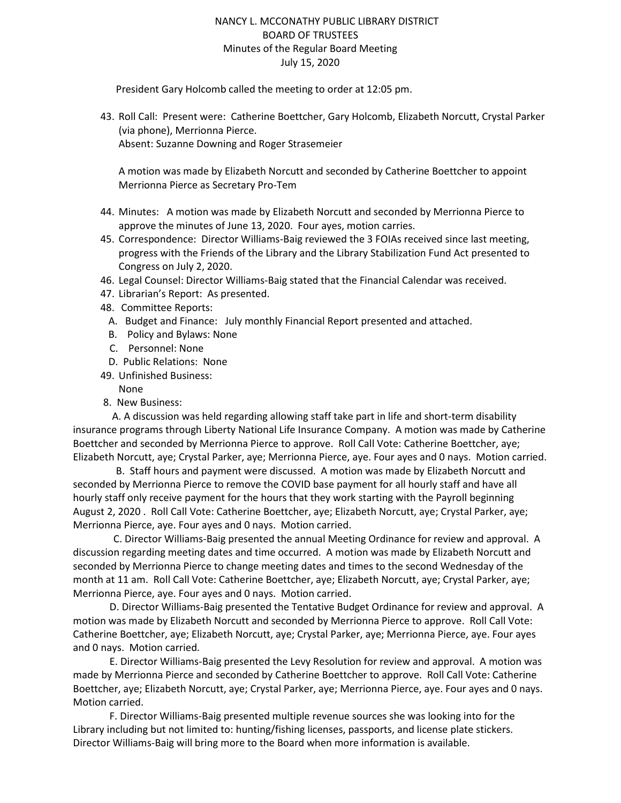### NANCY L. MCCONATHY PUBLIC LIBRARY DISTRICT BOARD OF TRUSTEES Minutes of the Regular Board Meeting July 15, 2020

President Gary Holcomb called the meeting to order at 12:05 pm.

43. Roll Call: Present were: Catherine Boettcher, Gary Holcomb, Elizabeth Norcutt, Crystal Parker (via phone), Merrionna Pierce. Absent: Suzanne Downing and Roger Strasemeier

A motion was made by Elizabeth Norcutt and seconded by Catherine Boettcher to appoint Merrionna Pierce as Secretary Pro-Tem

- 44. Minutes: A motion was made by Elizabeth Norcutt and seconded by Merrionna Pierce to approve the minutes of June 13, 2020. Four ayes, motion carries.
- 45. Correspondence: Director Williams-Baig reviewed the 3 FOIAs received since last meeting, progress with the Friends of the Library and the Library Stabilization Fund Act presented to Congress on July 2, 2020.
- 46. Legal Counsel: Director Williams-Baig stated that the Financial Calendar was received.
- 47. Librarian's Report: As presented.
- 48. Committee Reports:
	- A. Budget and Finance: July monthly Financial Report presented and attached.
	- B. Policy and Bylaws: None
	- C. Personnel: None
	- D. Public Relations: None
- 49. Unfinished Business:
	- None
- 8. New Business:

 A. A discussion was held regarding allowing staff take part in life and short-term disability insurance programs through Liberty National Life Insurance Company. A motion was made by Catherine Boettcher and seconded by Merrionna Pierce to approve. Roll Call Vote: Catherine Boettcher, aye; Elizabeth Norcutt, aye; Crystal Parker, aye; Merrionna Pierce, aye. Four ayes and 0 nays. Motion carried.

 B. Staff hours and payment were discussed. A motion was made by Elizabeth Norcutt and seconded by Merrionna Pierce to remove the COVID base payment for all hourly staff and have all hourly staff only receive payment for the hours that they work starting with the Payroll beginning August 2, 2020 . Roll Call Vote: Catherine Boettcher, aye; Elizabeth Norcutt, aye; Crystal Parker, aye; Merrionna Pierce, aye. Four ayes and 0 nays. Motion carried.

 C. Director Williams-Baig presented the annual Meeting Ordinance for review and approval. A discussion regarding meeting dates and time occurred. A motion was made by Elizabeth Norcutt and seconded by Merrionna Pierce to change meeting dates and times to the second Wednesday of the month at 11 am. Roll Call Vote: Catherine Boettcher, aye; Elizabeth Norcutt, aye; Crystal Parker, aye; Merrionna Pierce, aye. Four ayes and 0 nays. Motion carried.

D. Director Williams-Baig presented the Tentative Budget Ordinance for review and approval. A motion was made by Elizabeth Norcutt and seconded by Merrionna Pierce to approve. Roll Call Vote: Catherine Boettcher, aye; Elizabeth Norcutt, aye; Crystal Parker, aye; Merrionna Pierce, aye. Four ayes and 0 nays. Motion carried.

E. Director Williams-Baig presented the Levy Resolution for review and approval. A motion was made by Merrionna Pierce and seconded by Catherine Boettcher to approve. Roll Call Vote: Catherine Boettcher, aye; Elizabeth Norcutt, aye; Crystal Parker, aye; Merrionna Pierce, aye. Four ayes and 0 nays. Motion carried.

F. Director Williams-Baig presented multiple revenue sources she was looking into for the Library including but not limited to: hunting/fishing licenses, passports, and license plate stickers. Director Williams-Baig will bring more to the Board when more information is available.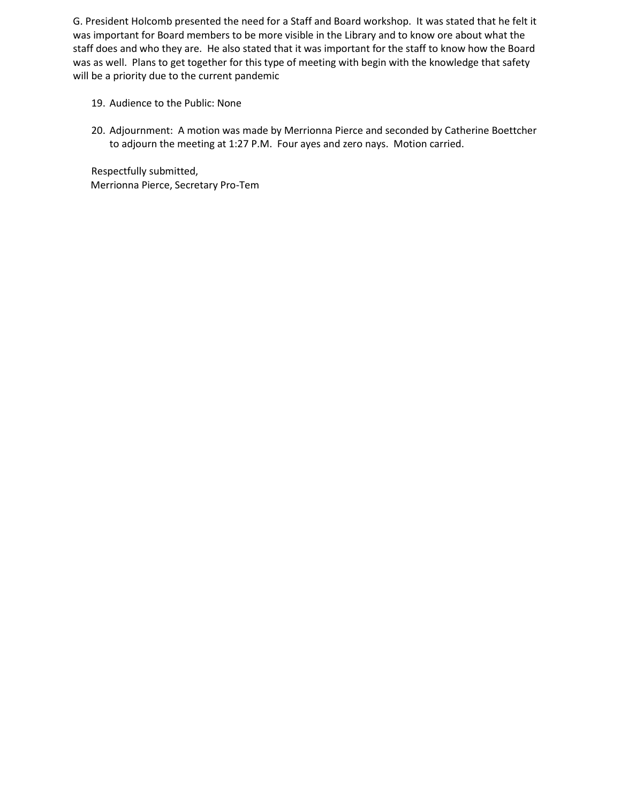G. President Holcomb presented the need for a Staff and Board workshop. It was stated that he felt it was important for Board members to be more visible in the Library and to know ore about what the staff does and who they are. He also stated that it was important for the staff to know how the Board was as well. Plans to get together for this type of meeting with begin with the knowledge that safety will be a priority due to the current pandemic

- 19. Audience to the Public: None
- 20. Adjournment: A motion was made by Merrionna Pierce and seconded by Catherine Boettcher to adjourn the meeting at 1:27 P.M. Four ayes and zero nays. Motion carried.

Respectfully submitted, Merrionna Pierce, Secretary Pro-Tem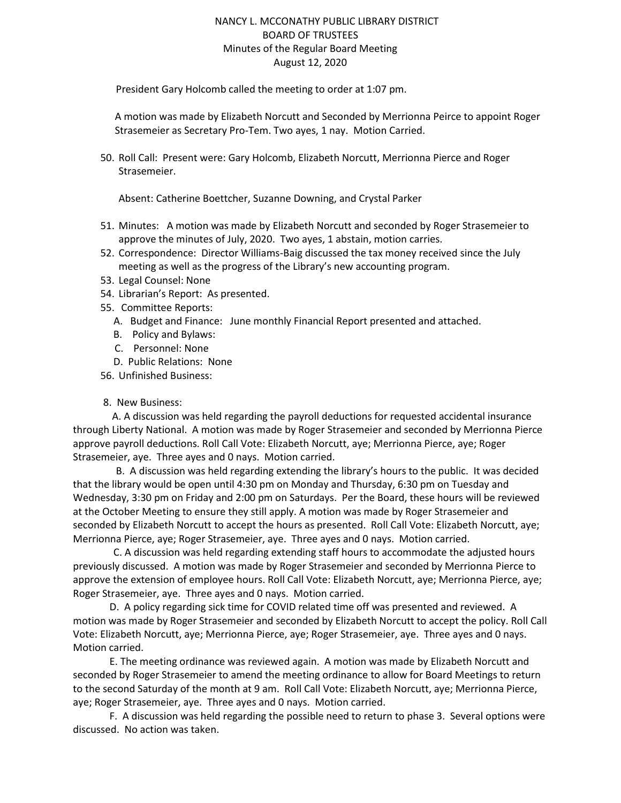### NANCY L. MCCONATHY PUBLIC LIBRARY DISTRICT BOARD OF TRUSTEES Minutes of the Regular Board Meeting August 12, 2020

President Gary Holcomb called the meeting to order at 1:07 pm.

A motion was made by Elizabeth Norcutt and Seconded by Merrionna Peirce to appoint Roger Strasemeier as Secretary Pro-Tem. Two ayes, 1 nay. Motion Carried.

50. Roll Call: Present were: Gary Holcomb, Elizabeth Norcutt, Merrionna Pierce and Roger Strasemeier.

Absent: Catherine Boettcher, Suzanne Downing, and Crystal Parker

- 51. Minutes: A motion was made by Elizabeth Norcutt and seconded by Roger Strasemeier to approve the minutes of July, 2020. Two ayes, 1 abstain, motion carries.
- 52. Correspondence: Director Williams-Baig discussed the tax money received since the July meeting as well as the progress of the Library's new accounting program.
- 53. Legal Counsel: None
- 54. Librarian's Report: As presented.
- 55. Committee Reports:
	- A. Budget and Finance: June monthly Financial Report presented and attached.
	- B. Policy and Bylaws:
	- C. Personnel: None
	- D. Public Relations: None
- 56. Unfinished Business:

#### 8. New Business:

 A. A discussion was held regarding the payroll deductions for requested accidental insurance through Liberty National. A motion was made by Roger Strasemeier and seconded by Merrionna Pierce approve payroll deductions. Roll Call Vote: Elizabeth Norcutt, aye; Merrionna Pierce, aye; Roger Strasemeier, aye. Three ayes and 0 nays. Motion carried.

 B. A discussion was held regarding extending the library's hours to the public. It was decided that the library would be open until 4:30 pm on Monday and Thursday, 6:30 pm on Tuesday and Wednesday, 3:30 pm on Friday and 2:00 pm on Saturdays. Per the Board, these hours will be reviewed at the October Meeting to ensure they still apply. A motion was made by Roger Strasemeier and seconded by Elizabeth Norcutt to accept the hours as presented. Roll Call Vote: Elizabeth Norcutt, aye; Merrionna Pierce, aye; Roger Strasemeier, aye. Three ayes and 0 nays. Motion carried.

 C. A discussion was held regarding extending staff hours to accommodate the adjusted hours previously discussed. A motion was made by Roger Strasemeier and seconded by Merrionna Pierce to approve the extension of employee hours. Roll Call Vote: Elizabeth Norcutt, aye; Merrionna Pierce, aye; Roger Strasemeier, aye. Three ayes and 0 nays. Motion carried.

D. A policy regarding sick time for COVID related time off was presented and reviewed. A motion was made by Roger Strasemeier and seconded by Elizabeth Norcutt to accept the policy. Roll Call Vote: Elizabeth Norcutt, aye; Merrionna Pierce, aye; Roger Strasemeier, aye. Three ayes and 0 nays. Motion carried.

E. The meeting ordinance was reviewed again. A motion was made by Elizabeth Norcutt and seconded by Roger Strasemeier to amend the meeting ordinance to allow for Board Meetings to return to the second Saturday of the month at 9 am. Roll Call Vote: Elizabeth Norcutt, aye; Merrionna Pierce, aye; Roger Strasemeier, aye. Three ayes and 0 nays. Motion carried.

F. A discussion was held regarding the possible need to return to phase 3. Several options were discussed. No action was taken.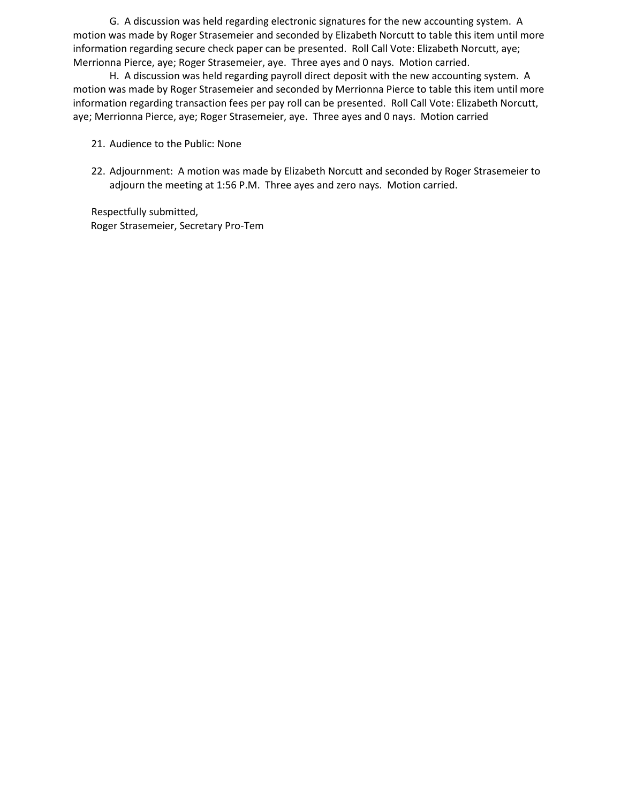G. A discussion was held regarding electronic signatures for the new accounting system. A motion was made by Roger Strasemeier and seconded by Elizabeth Norcutt to table this item until more information regarding secure check paper can be presented. Roll Call Vote: Elizabeth Norcutt, aye; Merrionna Pierce, aye; Roger Strasemeier, aye. Three ayes and 0 nays. Motion carried.

H. A discussion was held regarding payroll direct deposit with the new accounting system. A motion was made by Roger Strasemeier and seconded by Merrionna Pierce to table this item until more information regarding transaction fees per pay roll can be presented. Roll Call Vote: Elizabeth Norcutt, aye; Merrionna Pierce, aye; Roger Strasemeier, aye. Three ayes and 0 nays. Motion carried

- 21. Audience to the Public: None
- 22. Adjournment: A motion was made by Elizabeth Norcutt and seconded by Roger Strasemeier to adjourn the meeting at 1:56 P.M. Three ayes and zero nays. Motion carried.

Respectfully submitted, Roger Strasemeier, Secretary Pro-Tem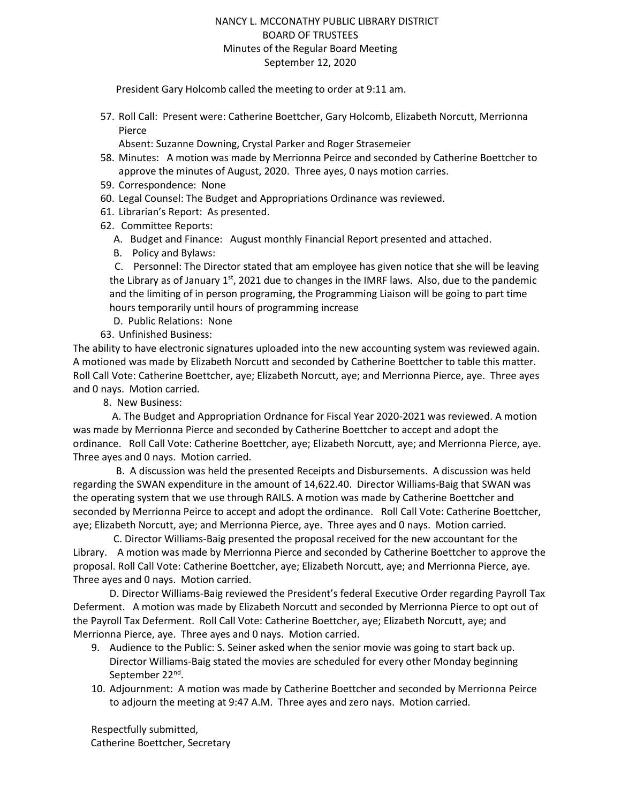### NANCY L. MCCONATHY PUBLIC LIBRARY DISTRICT BOARD OF TRUSTEES Minutes of the Regular Board Meeting September 12, 2020

President Gary Holcomb called the meeting to order at 9:11 am.

57. Roll Call: Present were: Catherine Boettcher, Gary Holcomb, Elizabeth Norcutt, Merrionna Pierce

Absent: Suzanne Downing, Crystal Parker and Roger Strasemeier

- 58. Minutes: A motion was made by Merrionna Peirce and seconded by Catherine Boettcher to approve the minutes of August, 2020. Three ayes, 0 nays motion carries.
- 59. Correspondence: None
- 60. Legal Counsel: The Budget and Appropriations Ordinance was reviewed.
- 61. Librarian's Report: As presented.
- 62. Committee Reports:
	- A. Budget and Finance: August monthly Financial Report presented and attached.
	- B. Policy and Bylaws:

 C. Personnel: The Director stated that am employee has given notice that she will be leaving the Library as of January  $1<sup>st</sup>$ , 2021 due to changes in the IMRF laws. Also, due to the pandemic and the limiting of in person programing, the Programming Liaison will be going to part time hours temporarily until hours of programming increase

- D. Public Relations: None
- 63. Unfinished Business:

The ability to have electronic signatures uploaded into the new accounting system was reviewed again. A motioned was made by Elizabeth Norcutt and seconded by Catherine Boettcher to table this matter. Roll Call Vote: Catherine Boettcher, aye; Elizabeth Norcutt, aye; and Merrionna Pierce, aye. Three ayes and 0 nays. Motion carried.

8. New Business:

 A. The Budget and Appropriation Ordnance for Fiscal Year 2020-2021 was reviewed. A motion was made by Merrionna Pierce and seconded by Catherine Boettcher to accept and adopt the ordinance. Roll Call Vote: Catherine Boettcher, aye; Elizabeth Norcutt, aye; and Merrionna Pierce, aye. Three ayes and 0 nays. Motion carried.

 B. A discussion was held the presented Receipts and Disbursements. A discussion was held regarding the SWAN expenditure in the amount of 14,622.40. Director Williams-Baig that SWAN was the operating system that we use through RAILS. A motion was made by Catherine Boettcher and seconded by Merrionna Peirce to accept and adopt the ordinance. Roll Call Vote: Catherine Boettcher, aye; Elizabeth Norcutt, aye; and Merrionna Pierce, aye. Three ayes and 0 nays. Motion carried.

 C. Director Williams-Baig presented the proposal received for the new accountant for the Library. A motion was made by Merrionna Pierce and seconded by Catherine Boettcher to approve the proposal. Roll Call Vote: Catherine Boettcher, aye; Elizabeth Norcutt, aye; and Merrionna Pierce, aye. Three ayes and 0 nays. Motion carried.

D. Director Williams-Baig reviewed the President's federal Executive Order regarding Payroll Tax Deferment. A motion was made by Elizabeth Norcutt and seconded by Merrionna Pierce to opt out of the Payroll Tax Deferment. Roll Call Vote: Catherine Boettcher, aye; Elizabeth Norcutt, aye; and Merrionna Pierce, aye. Three ayes and 0 nays. Motion carried.

- 9. Audience to the Public: S. Seiner asked when the senior movie was going to start back up. Director Williams-Baig stated the movies are scheduled for every other Monday beginning September 22<sup>nd</sup>.
- 10. Adjournment: A motion was made by Catherine Boettcher and seconded by Merrionna Peirce to adjourn the meeting at 9:47 A.M. Three ayes and zero nays. Motion carried.

Respectfully submitted, Catherine Boettcher, Secretary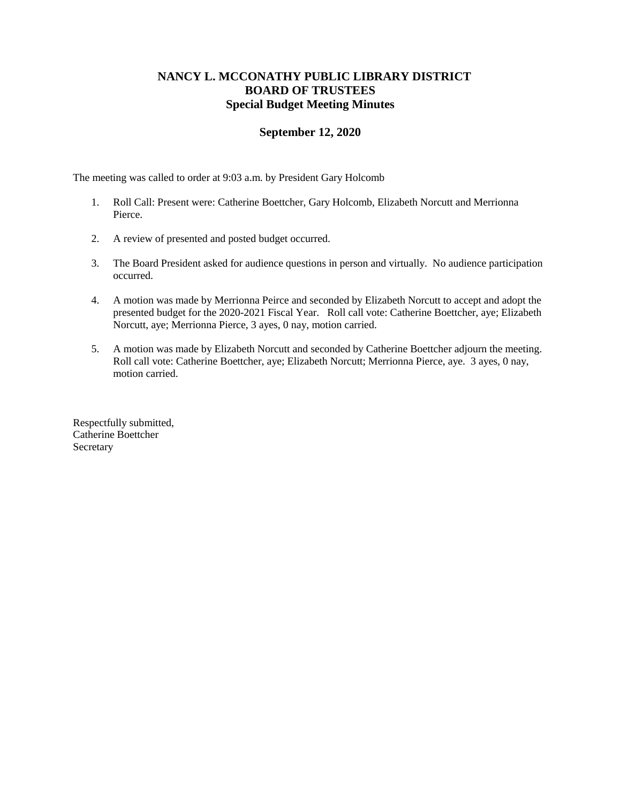# **NANCY L. MCCONATHY PUBLIC LIBRARY DISTRICT BOARD OF TRUSTEES Special Budget Meeting Minutes**

### **September 12, 2020**

The meeting was called to order at 9:03 a.m. by President Gary Holcomb

- 1. Roll Call: Present were: Catherine Boettcher, Gary Holcomb, Elizabeth Norcutt and Merrionna Pierce.
- 2. A review of presented and posted budget occurred.
- 3. The Board President asked for audience questions in person and virtually. No audience participation occurred.
- 4. A motion was made by Merrionna Peirce and seconded by Elizabeth Norcutt to accept and adopt the presented budget for the 2020-2021 Fiscal Year. Roll call vote: Catherine Boettcher, aye; Elizabeth Norcutt, aye; Merrionna Pierce, 3 ayes, 0 nay, motion carried.
- 5. A motion was made by Elizabeth Norcutt and seconded by Catherine Boettcher adjourn the meeting. Roll call vote: Catherine Boettcher, aye; Elizabeth Norcutt; Merrionna Pierce, aye. 3 ayes, 0 nay, motion carried.

Respectfully submitted, Catherine Boettcher Secretary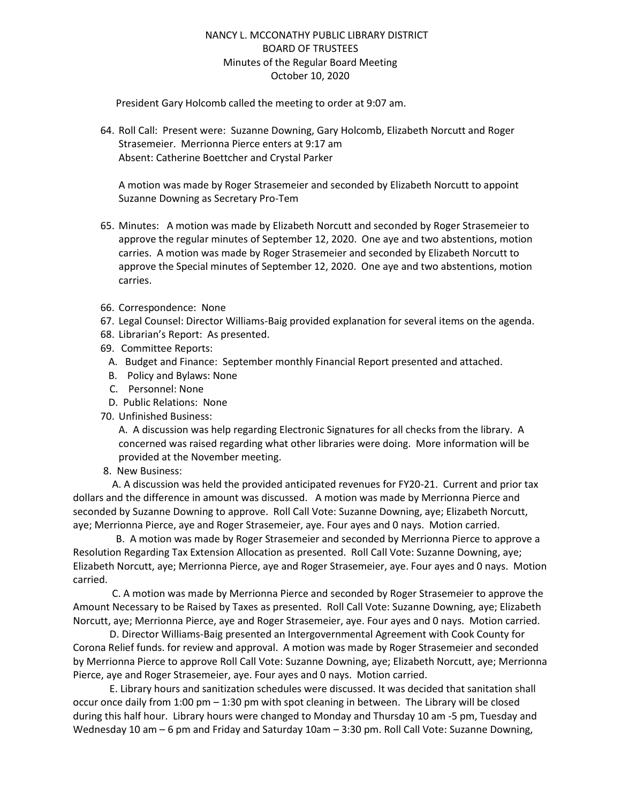## NANCY L. MCCONATHY PUBLIC LIBRARY DISTRICT BOARD OF TRUSTEES Minutes of the Regular Board Meeting October 10, 2020

President Gary Holcomb called the meeting to order at 9:07 am.

64. Roll Call: Present were: Suzanne Downing, Gary Holcomb, Elizabeth Norcutt and Roger Strasemeier. Merrionna Pierce enters at 9:17 am Absent: Catherine Boettcher and Crystal Parker

A motion was made by Roger Strasemeier and seconded by Elizabeth Norcutt to appoint Suzanne Downing as Secretary Pro-Tem

- 65. Minutes: A motion was made by Elizabeth Norcutt and seconded by Roger Strasemeier to approve the regular minutes of September 12, 2020. One aye and two abstentions, motion carries. A motion was made by Roger Strasemeier and seconded by Elizabeth Norcutt to approve the Special minutes of September 12, 2020. One aye and two abstentions, motion carries.
- 66. Correspondence: None
- 67. Legal Counsel: Director Williams-Baig provided explanation for several items on the agenda.
- 68. Librarian's Report: As presented.
- 69. Committee Reports:
- A. Budget and Finance: September monthly Financial Report presented and attached.
- B. Policy and Bylaws: None
- C. Personnel: None
- D. Public Relations: None
- 70. Unfinished Business:

A. A discussion was help regarding Electronic Signatures for all checks from the library. A concerned was raised regarding what other libraries were doing. More information will be provided at the November meeting.

8. New Business:

 A. A discussion was held the provided anticipated revenues for FY20-21. Current and prior tax dollars and the difference in amount was discussed. A motion was made by Merrionna Pierce and seconded by Suzanne Downing to approve. Roll Call Vote: Suzanne Downing, aye; Elizabeth Norcutt, aye; Merrionna Pierce, aye and Roger Strasemeier, aye. Four ayes and 0 nays. Motion carried.

 B. A motion was made by Roger Strasemeier and seconded by Merrionna Pierce to approve a Resolution Regarding Tax Extension Allocation as presented. Roll Call Vote: Suzanne Downing, aye; Elizabeth Norcutt, aye; Merrionna Pierce, aye and Roger Strasemeier, aye. Four ayes and 0 nays. Motion carried.

C. A motion was made by Merrionna Pierce and seconded by Roger Strasemeier to approve the Amount Necessary to be Raised by Taxes as presented. Roll Call Vote: Suzanne Downing, aye; Elizabeth Norcutt, aye; Merrionna Pierce, aye and Roger Strasemeier, aye. Four ayes and 0 nays. Motion carried.

D. Director Williams-Baig presented an Intergovernmental Agreement with Cook County for Corona Relief funds. for review and approval. A motion was made by Roger Strasemeier and seconded by Merrionna Pierce to approve Roll Call Vote: Suzanne Downing, aye; Elizabeth Norcutt, aye; Merrionna Pierce, aye and Roger Strasemeier, aye. Four ayes and 0 nays. Motion carried.

E. Library hours and sanitization schedules were discussed. It was decided that sanitation shall occur once daily from 1:00 pm – 1:30 pm with spot cleaning in between. The Library will be closed during this half hour. Library hours were changed to Monday and Thursday 10 am -5 pm, Tuesday and Wednesday 10 am – 6 pm and Friday and Saturday 10am – 3:30 pm. Roll Call Vote: Suzanne Downing,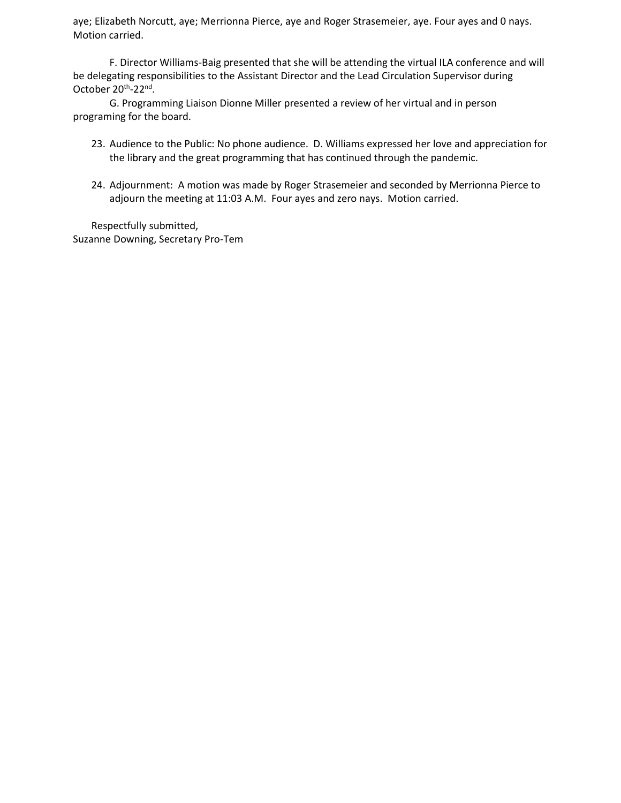aye; Elizabeth Norcutt, aye; Merrionna Pierce, aye and Roger Strasemeier, aye. Four ayes and 0 nays. Motion carried.

F. Director Williams-Baig presented that she will be attending the virtual ILA conference and will be delegating responsibilities to the Assistant Director and the Lead Circulation Supervisor during October 20<sup>th</sup>-22<sup>nd</sup>.

G. Programming Liaison Dionne Miller presented a review of her virtual and in person programing for the board.

- 23. Audience to the Public: No phone audience. D. Williams expressed her love and appreciation for the library and the great programming that has continued through the pandemic.
- 24. Adjournment: A motion was made by Roger Strasemeier and seconded by Merrionna Pierce to adjourn the meeting at 11:03 A.M. Four ayes and zero nays. Motion carried.

Respectfully submitted, Suzanne Downing, Secretary Pro-Tem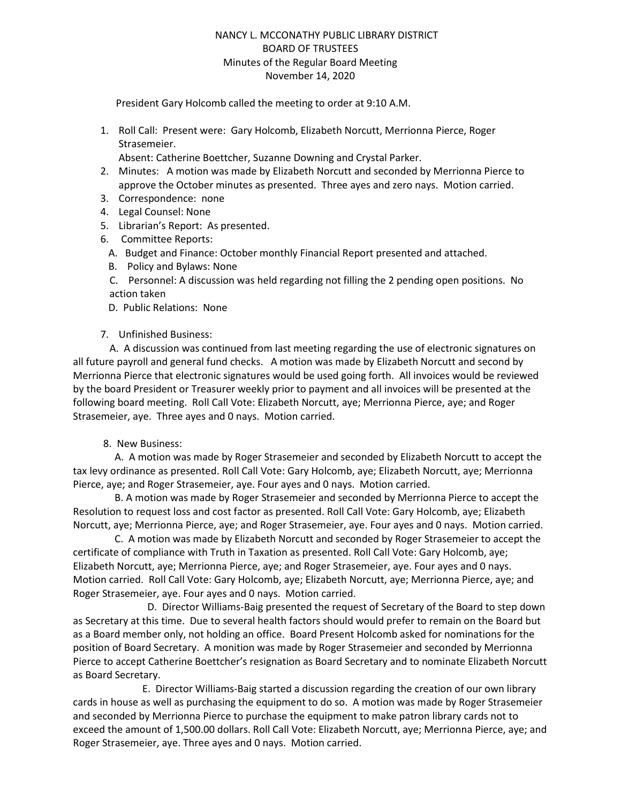# NANCY L. MCCONATHY PUBLIC LIBRARY DISTRICT BOARD OF TRUSTEES Minutes of the Regular Board Meeting November 14, 2020

President Gary Holcomb called the meeting to order at 9:10 A.M.

1. Roll Call: Present were: Gary Holcomb, Elizabeth Norcutt, Merrionna Pierce, Roger Strasemeier.

Absent: Catherine Boettcher, Suzanne Downing and Crystal Parker.

- 2. Minutes: A motion was made by Elizabeth Norcutt and seconded by Merrionna Pierce to approve the October minutes as presented. Three ayes and zero nays. Motion carried.
- 3. Correspondence: none
- 4. Legal Counsel: None
- 5. Librarian's Report: As presented.
- 6. Committee Reports:
	- A. Budget and Finance: October monthly Financial Report presented and attached.
	- B. Policy and Bylaws: None
	- C. Personnel: A discussion was held regarding not filling the 2 pending open positions. No action taken
	- D. Public Relations: None

#### 7. Unfinished Business:

A. A discussion was continued from last meeting regarding the use of electronic signatures on all future payroll and general fund checks. A motion was made by Elizabeth Norcutt and second by Merrionna Pierce that electronic signatures would be used going forth. All invoices would be reviewed by the board President or Treasurer weekly prior to payment and all invoices will be presented at the following board meeting. Roll Call Vote: Elizabeth Norcutt, aye; Merrionna Pierce, aye; and Roger Strasemeier, aye. Three ayes and 0 nays. Motion carried.

#### 8. New Business:

 A. A motion was made by Roger Strasemeier and seconded by Elizabeth Norcutt to accept the tax levy ordinance as presented. Roll Call Vote: Gary Holcomb, aye; Elizabeth Norcutt, aye; Merrionna Pierce, aye; and Roger Strasemeier, aye. Four ayes and 0 nays. Motion carried.

 B. A motion was made by Roger Strasemeier and seconded by Merrionna Pierce to accept the Resolution to request loss and cost factor as presented. Roll Call Vote: Gary Holcomb, aye; Elizabeth Norcutt, aye; Merrionna Pierce, aye; and Roger Strasemeier, aye. Four ayes and 0 nays. Motion carried.

 C. A motion was made by Elizabeth Norcutt and seconded by Roger Strasemeier to accept the certificate of compliance with Truth in Taxation as presented. Roll Call Vote: Gary Holcomb, aye; Elizabeth Norcutt, aye; Merrionna Pierce, aye; and Roger Strasemeier, aye. Four ayes and 0 nays. Motion carried. Roll Call Vote: Gary Holcomb, aye; Elizabeth Norcutt, aye; Merrionna Pierce, aye; and Roger Strasemeier, aye. Four ayes and 0 nays. Motion carried.

 D. Director Williams-Baig presented the request of Secretary of the Board to step down as Secretary at this time. Due to several health factors should would prefer to remain on the Board but as a Board member only, not holding an office. Board Present Holcomb asked for nominations for the position of Board Secretary. A monition was made by Roger Strasemeier and seconded by Merrionna Pierce to accept Catherine Boettcher's resignation as Board Secretary and to nominate Elizabeth Norcutt as Board Secretary.

 E. Director Williams-Baig started a discussion regarding the creation of our own library cards in house as well as purchasing the equipment to do so. A motion was made by Roger Strasemeier and seconded by Merrionna Pierce to purchase the equipment to make patron library cards not to exceed the amount of 1,500.00 dollars. Roll Call Vote: Elizabeth Norcutt, aye; Merrionna Pierce, aye; and Roger Strasemeier, aye. Three ayes and 0 nays. Motion carried.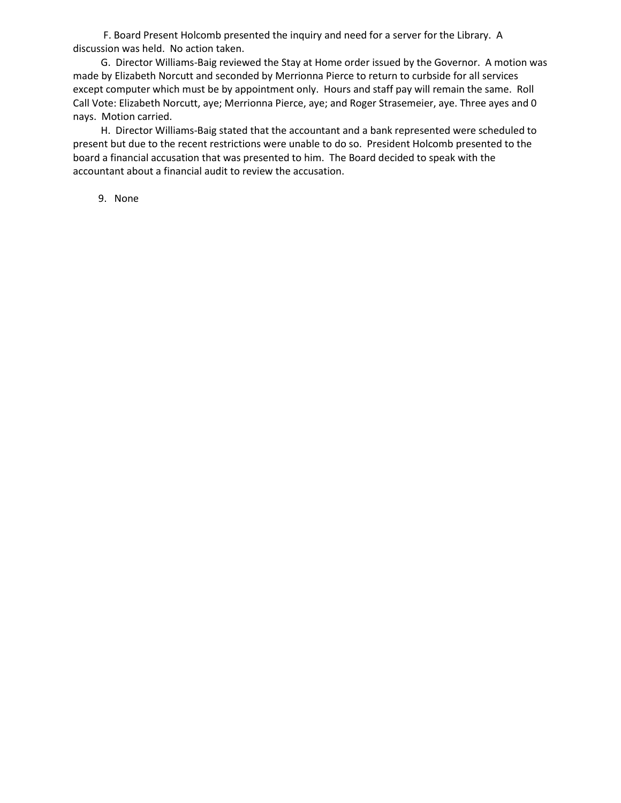F. Board Present Holcomb presented the inquiry and need for a server for the Library. A discussion was held. No action taken.

 G. Director Williams-Baig reviewed the Stay at Home order issued by the Governor. A motion was made by Elizabeth Norcutt and seconded by Merrionna Pierce to return to curbside for all services except computer which must be by appointment only. Hours and staff pay will remain the same. Roll Call Vote: Elizabeth Norcutt, aye; Merrionna Pierce, aye; and Roger Strasemeier, aye. Three ayes and 0 nays. Motion carried.

 H. Director Williams-Baig stated that the accountant and a bank represented were scheduled to present but due to the recent restrictions were unable to do so. President Holcomb presented to the board a financial accusation that was presented to him. The Board decided to speak with the accountant about a financial audit to review the accusation.

9. None